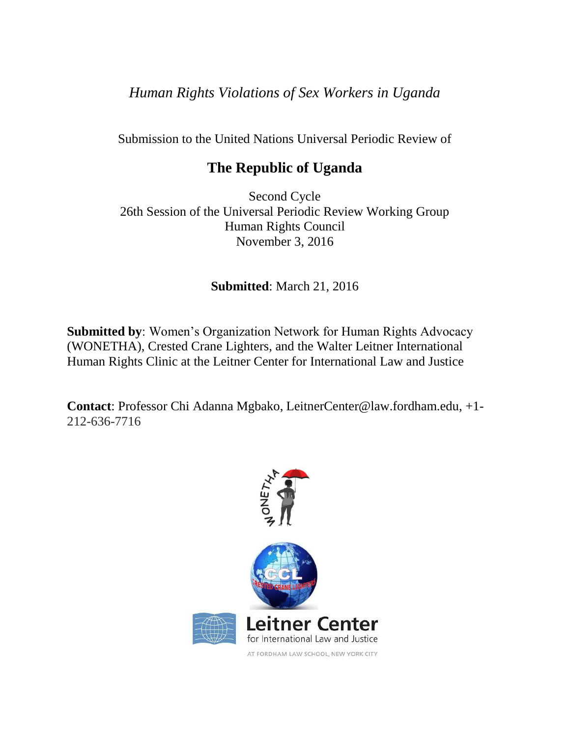*Human Rights Violations of Sex Workers in Uganda*

Submission to the United Nations Universal Periodic Review of

# **The Republic of Uganda**

Second Cycle 26th Session of the Universal Periodic Review Working Group Human Rights Council November 3, 2016

**Submitted**: March 21, 2016

**Submitted by**: Women's Organization Network for Human Rights Advocacy (WONETHA), Crested Crane Lighters, and the Walter Leitner International Human Rights Clinic at the Leitner Center for International Law and Justice

**Contact**: Professor Chi Adanna Mgbako, LeitnerCenter@law.fordham.edu, +1- 212-636-7716



AT FORDHAM LAW SCHOOL, NEW YORK CITY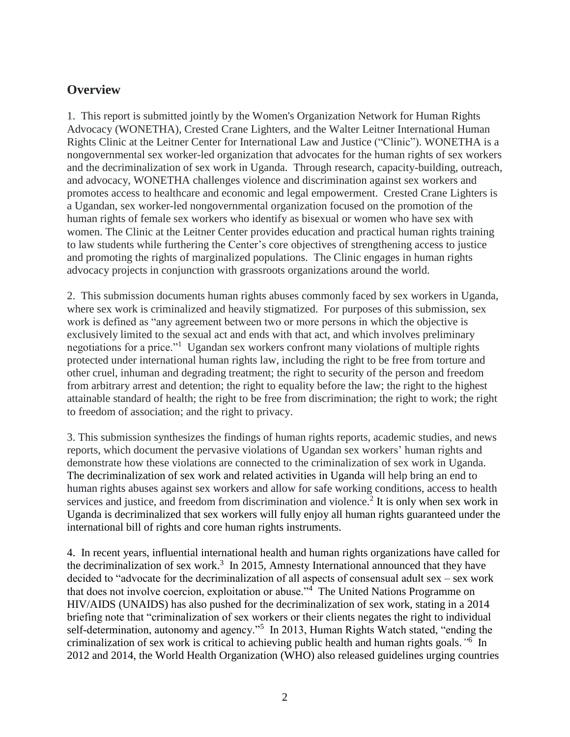#### **Overview**

1. This report is submitted jointly by the Women's Organization Network for Human Rights Advocacy (WONETHA), Crested Crane Lighters, and the Walter Leitner International Human Rights Clinic at the Leitner Center for International Law and Justice ("Clinic"). WONETHA is a nongovernmental sex worker-led organization that advocates for the human rights of sex workers and the decriminalization of sex work in Uganda. Through research, capacity-building, outreach, and advocacy, WONETHA challenges violence and discrimination against sex workers and promotes access to healthcare and economic and legal empowerment. Crested Crane Lighters is a Ugandan, sex worker-led nongovernmental organization focused on the promotion of the human rights of female sex workers who identify as bisexual or women who have sex with women. The Clinic at the Leitner Center provides education and practical human rights training to law students while furthering the Center's core objectives of strengthening access to justice and promoting the rights of marginalized populations. The Clinic engages in human rights advocacy projects in conjunction with grassroots organizations around the world.

2. This submission documents human rights abuses commonly faced by sex workers in Uganda, where sex work is criminalized and heavily stigmatized. For purposes of this submission, sex work is defined as "any agreement between two or more persons in which the objective is exclusively limited to the sexual act and ends with that act, and which involves preliminary negotiations for a price."<sup>1</sup> Ugandan sex workers confront many violations of multiple rights protected under international human rights law, including the right to be free from torture and other cruel, inhuman and degrading treatment; the right to security of the person and freedom from arbitrary arrest and detention; the right to equality before the law; the right to the highest attainable standard of health; the right to be free from discrimination; the right to work; the right to freedom of association; and the right to privacy.

3. This submission synthesizes the findings of human rights reports, academic studies, and news reports, which document the pervasive violations of Ugandan sex workers' human rights and demonstrate how these violations are connected to the criminalization of sex work in Uganda. The decriminalization of sex work and related activities in Uganda will help bring an end to human rights abuses against sex workers and allow for safe working conditions, access to health services and justice, and freedom from discrimination and violence.<sup>2</sup> It is only when sex work in Uganda is decriminalized that sex workers will fully enjoy all human rights guaranteed under the international bill of rights and core human rights instruments.

4. In recent years, influential international health and human rights organizations have called for the decriminalization of sex work.<sup>3</sup> In 2015, Amnesty International announced that they have decided to "advocate for the decriminalization of all aspects of consensual adult sex – sex work that does not involve coercion, exploitation or abuse."<sup>4</sup> The United Nations Programme on HIV/AIDS (UNAIDS) has also pushed for the decriminalization of sex work, stating in a 2014 briefing note that "criminalization of sex workers or their clients negates the right to individual self-determination, autonomy and agency."<sup>5</sup> In 2013, Human Rights Watch stated, "ending the criminalization of sex work is critical to achieving public health and human rights goals.*"* 6 In 2012 and 2014, the World Health Organization (WHO) also released guidelines urging countries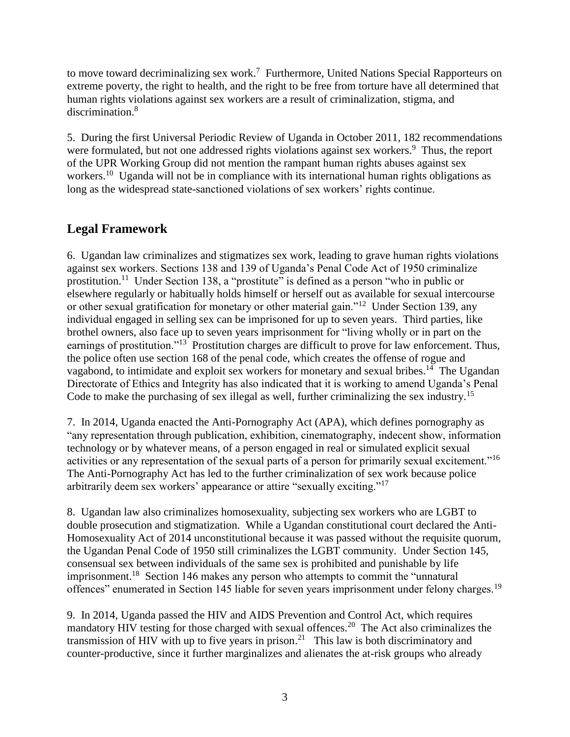to move toward decriminalizing sex work.<sup>7</sup> Furthermore, United Nations Special Rapporteurs on extreme poverty, the right to health, and the right to be free from torture have all determined that human rights violations against sex workers are a result of criminalization, stigma, and discrimination.<sup>8</sup>

5. During the first Universal Periodic Review of Uganda in October 2011, 182 recommendations were formulated, but not one addressed rights violations against sex workers.<sup>9</sup> Thus, the report of the UPR Working Group did not mention the rampant human rights abuses against sex workers.<sup>10</sup> Uganda will not be in compliance with its international human rights obligations as long as the widespread state-sanctioned violations of sex workers' rights continue.

# **Legal Framework**

6. Ugandan law criminalizes and stigmatizes sex work, leading to grave human rights violations against sex workers. Sections 138 and 139 of Uganda's Penal Code Act of 1950 criminalize prostitution.<sup>11</sup> Under Section 138, a "prostitute" is defined as a person "who in public or elsewhere regularly or habitually holds himself or herself out as available for sexual intercourse or other sexual gratification for monetary or other material gain."<sup>12</sup> Under Section 139, any individual engaged in selling sex can be imprisoned for up to seven years. Third parties, like brothel owners, also face up to seven years imprisonment for "living wholly or in part on the earnings of prostitution."<sup>13</sup> Prostitution charges are difficult to prove for law enforcement. Thus, the police often use section 168 of the penal code, which creates the offense of rogue and vagabond, to intimidate and exploit sex workers for monetary and sexual bribes.<sup>14</sup> The Ugandan Directorate of Ethics and Integrity has also indicated that it is working to amend Uganda's Penal Code to make the purchasing of sex illegal as well, further criminalizing the sex industry.<sup>15</sup>

7. In 2014, Uganda enacted the Anti-Pornography Act (APA), which defines pornography as "any representation through publication, exhibition, cinematography, indecent show, information technology or by whatever means, of a person engaged in real or simulated explicit sexual activities or any representation of the sexual parts of a person for primarily sexual excitement."<sup>16</sup> The Anti-Pornography Act has led to the further criminalization of sex work because police arbitrarily deem sex workers' appearance or attire "sexually exciting."<sup>17</sup>

8. Ugandan law also criminalizes homosexuality, subjecting sex workers who are LGBT to double prosecution and stigmatization. While a Ugandan constitutional court declared the Anti-Homosexuality Act of 2014 unconstitutional because it was passed without the requisite quorum, the Ugandan Penal Code of 1950 still criminalizes the LGBT community. Under Section 145, consensual sex between individuals of the same sex is prohibited and punishable by life imprisonment.<sup>18</sup> Section 146 makes any person who attempts to commit the "unnatural offences" enumerated in Section 145 liable for seven years imprisonment under felony charges.<sup>19</sup>

9. In 2014, Uganda passed the HIV and AIDS Prevention and Control Act, which requires mandatory HIV testing for those charged with sexual offences.<sup>20</sup> The Act also criminalizes the transmission of HIV with up to five years in prison.<sup>21</sup> This law is both discriminatory and counter-productive, since it further marginalizes and alienates the at-risk groups who already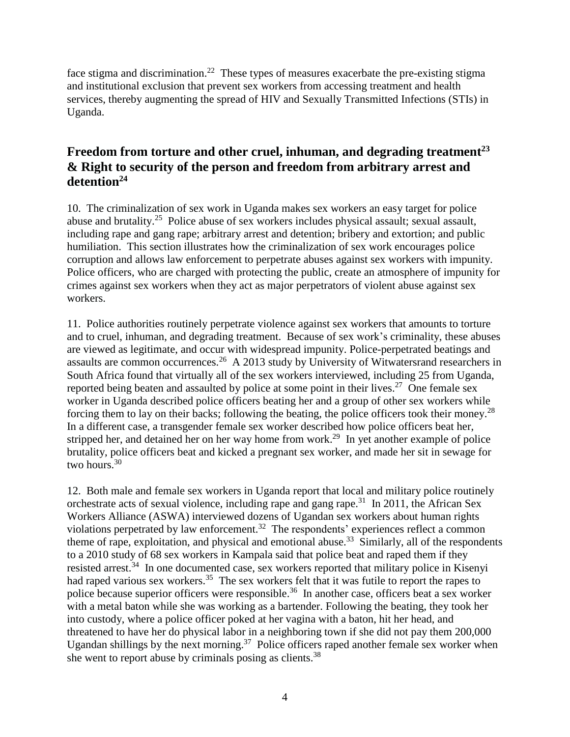face stigma and discrimination.<sup>22</sup> These types of measures exacerbate the pre-existing stigma and institutional exclusion that prevent sex workers from accessing treatment and health services, thereby augmenting the spread of HIV and Sexually Transmitted Infections (STIs) in Uganda.

## **Freedom from torture and other cruel, inhuman, and degrading treatment<sup>23</sup> & Right to security of the person and freedom from arbitrary arrest and detention<sup>24</sup>**

10. The criminalization of sex work in Uganda makes sex workers an easy target for police abuse and brutality.<sup>25</sup> Police abuse of sex workers includes physical assault; sexual assault, including rape and gang rape; arbitrary arrest and detention; bribery and extortion; and public humiliation. This section illustrates how the criminalization of sex work encourages police corruption and allows law enforcement to perpetrate abuses against sex workers with impunity. Police officers, who are charged with protecting the public, create an atmosphere of impunity for crimes against sex workers when they act as major perpetrators of violent abuse against sex workers.

11. Police authorities routinely perpetrate violence against sex workers that amounts to torture and to cruel, inhuman, and degrading treatment. Because of sex work's criminality, these abuses are viewed as legitimate, and occur with widespread impunity. Police-perpetrated beatings and assaults are common occurrences.<sup>26</sup> A 2013 study by University of Witwatersrand researchers in South Africa found that virtually all of the sex workers interviewed, including 25 from Uganda, reported being beaten and assaulted by police at some point in their lives.<sup>27</sup> One female sex worker in Uganda described police officers beating her and a group of other sex workers while forcing them to lay on their backs; following the beating, the police officers took their money.<sup>28</sup> In a different case, a transgender female sex worker described how police officers beat her, stripped her, and detained her on her way home from work.<sup>29</sup> In yet another example of police brutality, police officers beat and kicked a pregnant sex worker, and made her sit in sewage for two hours.<sup>30</sup>

12. Both male and female sex workers in Uganda report that local and military police routinely orchestrate acts of sexual violence, including rape and gang rape.<sup>31</sup> In 2011, the African Sex Workers Alliance (ASWA) interviewed dozens of Ugandan sex workers about human rights violations perpetrated by law enforcement.<sup>32</sup> The respondents' experiences reflect a common theme of rape, exploitation, and physical and emotional abuse.<sup>33</sup> Similarly, all of the respondents to a 2010 study of 68 sex workers in Kampala said that police beat and raped them if they resisted arrest.<sup>34</sup> In one documented case, sex workers reported that military police in Kisenyi had raped various sex workers.<sup>35</sup> The sex workers felt that it was futile to report the rapes to police because superior officers were responsible.<sup>36</sup> In another case, officers beat a sex worker with a metal baton while she was working as a bartender. Following the beating, they took her into custody, where a police officer poked at her vagina with a baton, hit her head, and threatened to have her do physical labor in a neighboring town if she did not pay them 200,000 Ugandan shillings by the next morning.<sup>37</sup> Police officers raped another female sex worker when she went to report abuse by criminals posing as clients.<sup>38</sup>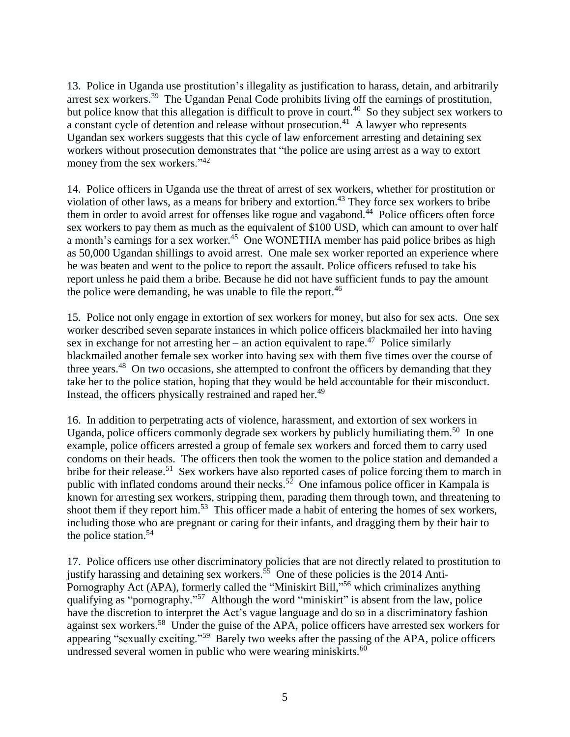13. Police in Uganda use prostitution's illegality as justification to harass, detain, and arbitrarily arrest sex workers.<sup>39</sup> The Ugandan Penal Code prohibits living off the earnings of prostitution, but police know that this allegation is difficult to prove in court.<sup>40</sup> So they subject sex workers to a constant cycle of detention and release without prosecution.<sup>41</sup> A lawyer who represents Ugandan sex workers suggests that this cycle of law enforcement arresting and detaining sex workers without prosecution demonstrates that "the police are using arrest as a way to extort money from the sex workers."<sup>42</sup>

14. Police officers in Uganda use the threat of arrest of sex workers, whether for prostitution or violation of other laws, as a means for bribery and extortion.<sup>43</sup> They force sex workers to bribe them in order to avoid arrest for offenses like rogue and vagabond.<sup>44</sup> Police officers often force sex workers to pay them as much as the equivalent of \$100 USD, which can amount to over half a month's earnings for a sex worker.<sup>45</sup> One WONETHA member has paid police bribes as high as 50,000 Ugandan shillings to avoid arrest. One male sex worker reported an experience where he was beaten and went to the police to report the assault. Police officers refused to take his report unless he paid them a bribe. Because he did not have sufficient funds to pay the amount the police were demanding, he was unable to file the report.<sup>46</sup>

15. Police not only engage in extortion of sex workers for money, but also for sex acts. One sex worker described seven separate instances in which police officers blackmailed her into having sex in exchange for not arresting her – an action equivalent to rape.<sup>47</sup> Police similarly blackmailed another female sex worker into having sex with them five times over the course of three years.<sup>48</sup> On two occasions, she attempted to confront the officers by demanding that they take her to the police station, hoping that they would be held accountable for their misconduct. Instead, the officers physically restrained and raped her.<sup>49</sup>

16. In addition to perpetrating acts of violence, harassment, and extortion of sex workers in Uganda, police officers commonly degrade sex workers by publicly humiliating them.<sup>50</sup> In one example, police officers arrested a group of female sex workers and forced them to carry used condoms on their heads. The officers then took the women to the police station and demanded a bribe for their release.<sup>51</sup> Sex workers have also reported cases of police forcing them to march in public with inflated condoms around their necks.<sup>52</sup> One infamous police officer in Kampala is known for arresting sex workers, stripping them, parading them through town, and threatening to shoot them if they report him.<sup>53</sup> This officer made a habit of entering the homes of sex workers, including those who are pregnant or caring for their infants, and dragging them by their hair to the police station.<sup>54</sup>

17. Police officers use other discriminatory policies that are not directly related to prostitution to justify harassing and detaining sex workers.<sup>55</sup> One of these policies is the 2014 Anti-Pornography Act (APA), formerly called the "Miniskirt Bill,"<sup>56</sup> which criminalizes anything qualifying as "pornography."<sup>57</sup> Although the word "miniskirt" is absent from the law, police have the discretion to interpret the Act's vague language and do so in a discriminatory fashion against sex workers.<sup>58</sup> Under the guise of the APA, police officers have arrested sex workers for appearing "sexually exciting."<sup>59</sup> Barely two weeks after the passing of the APA, police officers undressed several women in public who were wearing miniskirts.<sup>60</sup>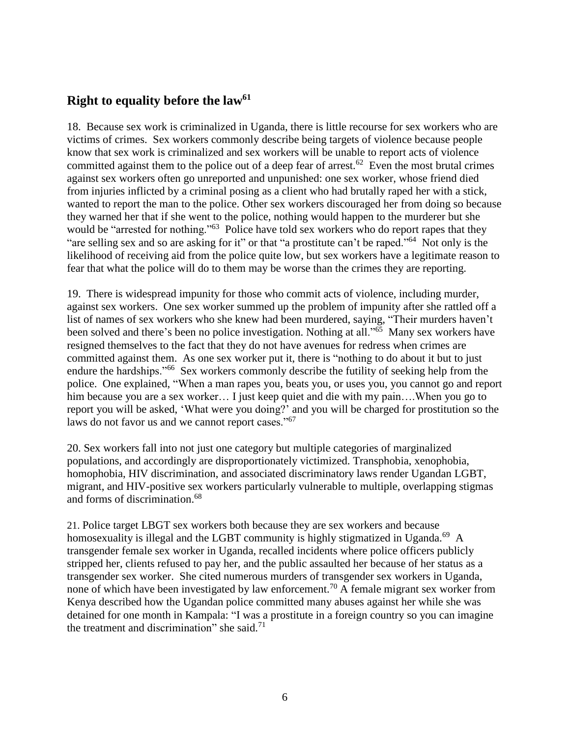#### **Right to equality before the law<sup>61</sup>**

18. Because sex work is criminalized in Uganda, there is little recourse for sex workers who are victims of crimes. Sex workers commonly describe being targets of violence because people know that sex work is criminalized and sex workers will be unable to report acts of violence committed against them to the police out of a deep fear of arrest.<sup>62</sup> Even the most brutal crimes against sex workers often go unreported and unpunished: one sex worker, whose friend died from injuries inflicted by a criminal posing as a client who had brutally raped her with a stick, wanted to report the man to the police. Other sex workers discouraged her from doing so because they warned her that if she went to the police, nothing would happen to the murderer but she would be "arrested for nothing."<sup>63</sup> Police have told sex workers who do report rapes that they "are selling sex and so are asking for it" or that "a prostitute can't be raped."<sup>64</sup> Not only is the likelihood of receiving aid from the police quite low, but sex workers have a legitimate reason to fear that what the police will do to them may be worse than the crimes they are reporting.

19. There is widespread impunity for those who commit acts of violence, including murder, against sex workers. One sex worker summed up the problem of impunity after she rattled off a list of names of sex workers who she knew had been murdered, saying, "Their murders haven't been solved and there's been no police investigation. Nothing at all."<sup>65</sup> Many sex workers have resigned themselves to the fact that they do not have avenues for redress when crimes are committed against them. As one sex worker put it, there is "nothing to do about it but to just endure the hardships."<sup>66</sup> Sex workers commonly describe the futility of seeking help from the police. One explained, "When a man rapes you, beats you, or uses you, you cannot go and report him because you are a sex worker... I just keep quiet and die with my pain....When you go to report you will be asked, 'What were you doing?' and you will be charged for prostitution so the laws do not favor us and we cannot report cases."<sup>67</sup>

20. Sex workers fall into not just one category but multiple categories of marginalized populations, and accordingly are disproportionately victimized. Transphobia, xenophobia, homophobia, HIV discrimination, and associated discriminatory laws render Ugandan LGBT, migrant, and HIV-positive sex workers particularly vulnerable to multiple, overlapping stigmas and forms of discrimination.<sup>68</sup>

21. Police target LBGT sex workers both because they are sex workers and because homosexuality is illegal and the LGBT community is highly stigmatized in Uganda.<sup>69</sup> A transgender female sex worker in Uganda, recalled incidents where police officers publicly stripped her, clients refused to pay her, and the public assaulted her because of her status as a transgender sex worker. She cited numerous murders of transgender sex workers in Uganda, none of which have been investigated by law enforcement.<sup>70</sup> A female migrant sex worker from Kenya described how the Ugandan police committed many abuses against her while she was detained for one month in Kampala: "I was a prostitute in a foreign country so you can imagine the treatment and discrimination" she said. $^{71}$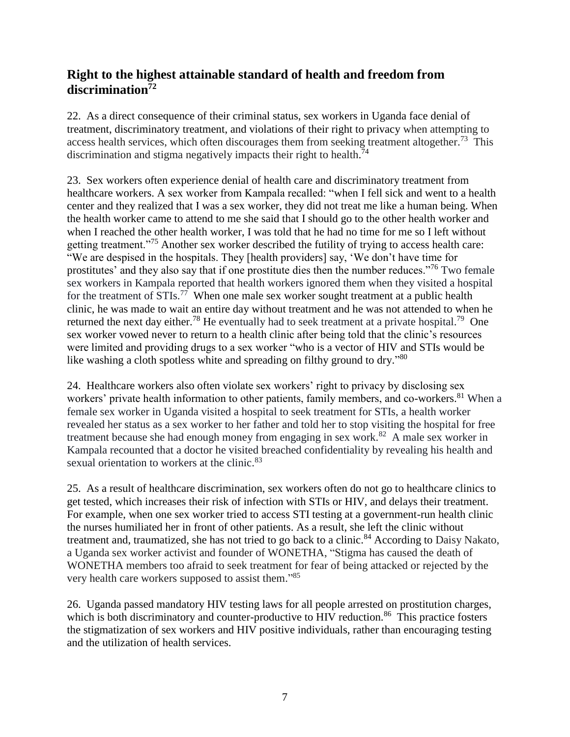## **Right to the highest attainable standard of health and freedom from discrimination<sup>72</sup>**

22. As a direct consequence of their criminal status, sex workers in Uganda face denial of treatment, discriminatory treatment, and violations of their right to privacy when attempting to access health services, which often discourages them from seeking treatment altogether.<sup>73</sup> This discrimination and stigma negatively impacts their right to health.<sup>74</sup>

23. Sex workers often experience denial of health care and discriminatory treatment from healthcare workers. A sex worker from Kampala recalled: "when I fell sick and went to a health center and they realized that I was a sex worker, they did not treat me like a human being. When the health worker came to attend to me she said that I should go to the other health worker and when I reached the other health worker, I was told that he had no time for me so I left without getting treatment."<sup>75</sup> Another sex worker described the futility of trying to access health care: "We are despised in the hospitals. They [health providers] say, 'We don't have time for prostitutes' and they also say that if one prostitute dies then the number reduces."<sup>76</sup> Two female sex workers in Kampala reported that health workers ignored them when they visited a hospital for the treatment of  $STIs.<sup>77</sup>$  When one male sex worker sought treatment at a public health clinic, he was made to wait an entire day without treatment and he was not attended to when he returned the next day either.<sup>78</sup> He eventually had to seek treatment at a private hospital.<sup>79</sup> One sex worker vowed never to return to a health clinic after being told that the clinic's resources were limited and providing drugs to a sex worker "who is a vector of HIV and STIs would be like washing a cloth spotless white and spreading on filthy ground to dry."<sup>80</sup>

24. Healthcare workers also often violate sex workers' right to privacy by disclosing sex workers' private health information to other patients, family members, and co-workers.<sup>81</sup> When a female sex worker in Uganda visited a hospital to seek treatment for STIs, a health worker revealed her status as a sex worker to her father and told her to stop visiting the hospital for free treatment because she had enough money from engaging in sex work.<sup>82</sup> A male sex worker in Kampala recounted that a doctor he visited breached confidentiality by revealing his health and sexual orientation to workers at the clinic.<sup>83</sup>

25. As a result of healthcare discrimination, sex workers often do not go to healthcare clinics to get tested, which increases their risk of infection with STIs or HIV, and delays their treatment. For example, when one sex worker tried to access STI testing at a government-run health clinic the nurses humiliated her in front of other patients. As a result, she left the clinic without treatment and, traumatized, she has not tried to go back to a clinic.<sup>84</sup> According to Daisy Nakato, a Uganda sex worker activist and founder of WONETHA, "Stigma has caused the death of WONETHA members too afraid to seek treatment for fear of being attacked or rejected by the very health care workers supposed to assist them."<sup>85</sup>

26. Uganda passed mandatory HIV testing laws for all people arrested on prostitution charges, which is both discriminatory and counter-productive to HIV reduction.<sup>86</sup> This practice fosters the stigmatization of sex workers and HIV positive individuals, rather than encouraging testing and the utilization of health services.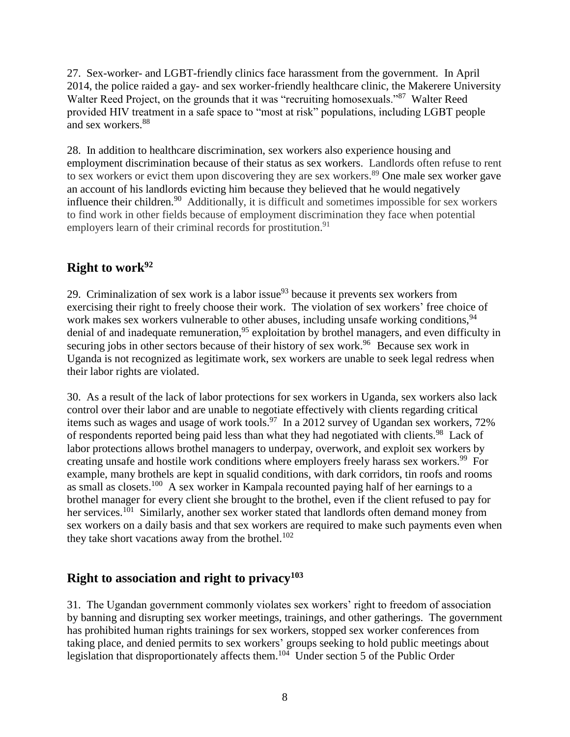27. Sex-worker- and LGBT-friendly clinics face harassment from the government. In April 2014, the police raided a gay- and sex worker-friendly healthcare clinic, the Makerere University Walter Reed Project, on the grounds that it was "recruiting homosexuals."<sup>87</sup> Walter Reed provided HIV treatment in a safe space to "most at risk" populations, including LGBT people and sex workers.<sup>88</sup>

28. In addition to healthcare discrimination, sex workers also experience housing and employment discrimination because of their status as sex workers. Landlords often refuse to rent to sex workers or evict them upon discovering they are sex workers.<sup>89</sup> One male sex worker gave an account of his landlords evicting him because they believed that he would negatively influence their children.<sup>90</sup> Additionally, it is difficult and sometimes impossible for sex workers to find work in other fields because of employment discrimination they face when potential employers learn of their criminal records for prostitution.<sup>91</sup>

## **Right to work<sup>92</sup>**

29. Criminalization of sex work is a labor issue $93$  because it prevents sex workers from exercising their right to freely choose their work. The violation of sex workers' free choice of work makes sex workers vulnerable to other abuses, including unsafe working conditions, <sup>94</sup> denial of and inadequate remuneration,<sup>95</sup> exploitation by brothel managers, and even difficulty in securing jobs in other sectors because of their history of sex work.<sup>96</sup> Because sex work in Uganda is not recognized as legitimate work, sex workers are unable to seek legal redress when their labor rights are violated.

30. As a result of the lack of labor protections for sex workers in Uganda, sex workers also lack control over their labor and are unable to negotiate effectively with clients regarding critical items such as wages and usage of work tools.<sup>97</sup> In a 2012 survey of Ugandan sex workers, 72% of respondents reported being paid less than what they had negotiated with clients.<sup>98</sup> Lack of labor protections allows brothel managers to underpay, overwork, and exploit sex workers by creating unsafe and hostile work conditions where employers freely harass sex workers.<sup>99</sup> For example, many brothels are kept in squalid conditions, with dark corridors, tin roofs and rooms as small as closets.<sup>100</sup> A sex worker in Kampala recounted paying half of her earnings to a brothel manager for every client she brought to the brothel, even if the client refused to pay for her services.<sup>101</sup> Similarly, another sex worker stated that landlords often demand money from sex workers on a daily basis and that sex workers are required to make such payments even when they take short vacations away from the brothel. $102$ 

## **Right to association and right to privacy<sup>103</sup>**

31. The Ugandan government commonly violates sex workers' right to freedom of association by banning and disrupting sex worker meetings, trainings, and other gatherings. The government has prohibited human rights trainings for sex workers, stopped sex worker conferences from taking place, and denied permits to sex workers' groups seeking to hold public meetings about legislation that disproportionately affects them.<sup>104</sup> Under section 5 of the Public Order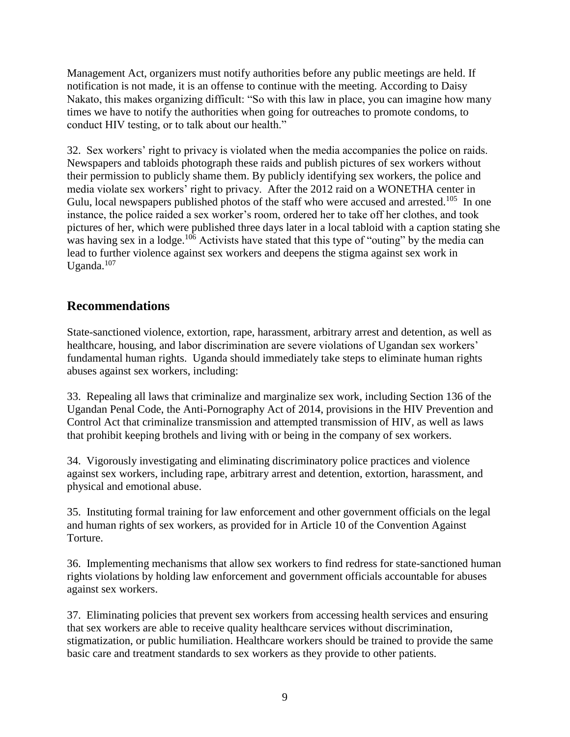Management Act, organizers must notify authorities before any public meetings are held. If notification is not made, it is an offense to continue with the meeting. According to Daisy Nakato, this makes organizing difficult: "So with this law in place, you can imagine how many times we have to notify the authorities when going for outreaches to promote condoms, to conduct HIV testing, or to talk about our health."

32. Sex workers' right to privacy is violated when the media accompanies the police on raids. Newspapers and tabloids photograph these raids and publish pictures of sex workers without their permission to publicly shame them. By publicly identifying sex workers, the police and media violate sex workers' right to privacy. After the 2012 raid on a WONETHA center in Gulu, local newspapers published photos of the staff who were accused and arrested.<sup>105</sup> In one instance, the police raided a sex worker's room, ordered her to take off her clothes, and took pictures of her, which were published three days later in a local tabloid with a caption stating she was having sex in a lodge.<sup>106</sup> Activists have stated that this type of "outing" by the media can lead to further violence against sex workers and deepens the stigma against sex work in Uganda. $107$ 

# **Recommendations**

State-sanctioned violence, extortion, rape, harassment, arbitrary arrest and detention, as well as healthcare, housing, and labor discrimination are severe violations of Ugandan sex workers' fundamental human rights. Uganda should immediately take steps to eliminate human rights abuses against sex workers, including:

33. Repealing all laws that criminalize and marginalize sex work, including Section 136 of the Ugandan Penal Code, the Anti-Pornography Act of 2014, provisions in the HIV Prevention and Control Act that criminalize transmission and attempted transmission of HIV, as well as laws that prohibit keeping brothels and living with or being in the company of sex workers.

34. Vigorously investigating and eliminating discriminatory police practices and violence against sex workers, including rape, arbitrary arrest and detention, extortion, harassment, and physical and emotional abuse.

35. Instituting formal training for law enforcement and other government officials on the legal and human rights of sex workers, as provided for in Article 10 of the Convention Against Torture.

36. Implementing mechanisms that allow sex workers to find redress for state-sanctioned human rights violations by holding law enforcement and government officials accountable for abuses against sex workers.

37. Eliminating policies that prevent sex workers from accessing health services and ensuring that sex workers are able to receive quality healthcare services without discrimination, stigmatization, or public humiliation. Healthcare workers should be trained to provide the same basic care and treatment standards to sex workers as they provide to other patients.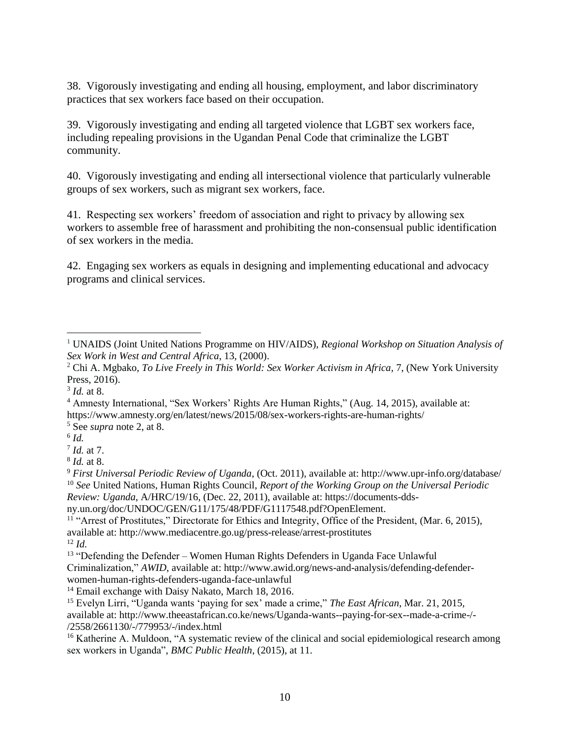38. Vigorously investigating and ending all housing, employment, and labor discriminatory practices that sex workers face based on their occupation.

39. Vigorously investigating and ending all targeted violence that LGBT sex workers face, including repealing provisions in the Ugandan Penal Code that criminalize the LGBT community.

40. Vigorously investigating and ending all intersectional violence that particularly vulnerable groups of sex workers, such as migrant sex workers, face.

41. Respecting sex workers' freedom of association and right to privacy by allowing sex workers to assemble free of harassment and prohibiting the non-consensual public identification of sex workers in the media.

42. Engaging sex workers as equals in designing and implementing educational and advocacy programs and clinical services.

 $\overline{a}$ 

<sup>1</sup> UNAIDS (Joint United Nations Programme on HIV/AIDS), *Regional Workshop on Situation Analysis of Sex Work in West and Central Africa*, 13, (2000).

<sup>2</sup> Chi A. Mgbako, *To Live Freely in This World: Sex Worker Activism in Africa*, 7, (New York University Press, 2016).

<sup>3</sup> *Id.* at 8.

<sup>4</sup> Amnesty International, "Sex Workers' Rights Are Human Rights," (Aug. 14, 2015), available at: https://www.amnesty.org/en/latest/news/2015/08/sex-workers-rights-are-human-rights/

<sup>5</sup> See *supra* note 2, at 8.

<sup>6</sup> *Id.*

<sup>7</sup> *Id.* at 7.

<sup>8</sup> *Id.* at 8.

<sup>9</sup> *First Universal Periodic Review of Uganda*, (Oct. 2011), available at: http://www.upr-info.org/database/ <sup>10</sup> *See* United Nations, Human Rights Council, *Report of the Working Group on the Universal Periodic Review: Uganda*, A/HRC/19/16, (Dec. 22, 2011), available at: https://documents-dds-

ny.un.org/doc/UNDOC/GEN/G11/175/48/PDF/G1117548.pdf?OpenElement.

<sup>&</sup>lt;sup>11</sup> "Arrest of Prostitutes," Directorate for Ethics and Integrity, Office of the President, (Mar. 6, 2015), available at: http://www.mediacentre.go.ug/press-release/arrest-prostitutes <sup>12</sup> *Id.*

<sup>&</sup>lt;sup>13</sup> "Defending the Defender – Women Human Rights Defenders in Uganda Face Unlawful Criminalization," *AWID*, available at: http://www.awid.org/news-and-analysis/defending-defenderwomen-human-rights-defenders-uganda-face-unlawful

<sup>&</sup>lt;sup>14</sup> Email exchange with Daisy Nakato, March 18, 2016.

<sup>15</sup> Evelyn Lirri, "Uganda wants 'paying for sex' made a crime," *The East African*, Mar. 21, 2015, available at: http://www.theeastafrican.co.ke/news/Uganda-wants--paying-for-sex--made-a-crime-/- /2558/2661130/-/779953/-/index.html

<sup>&</sup>lt;sup>16</sup> Katherine A. Muldoon, "A systematic review of the clinical and social epidemiological research among sex workers in Uganda", *BMC Public Health*, (2015), at 11.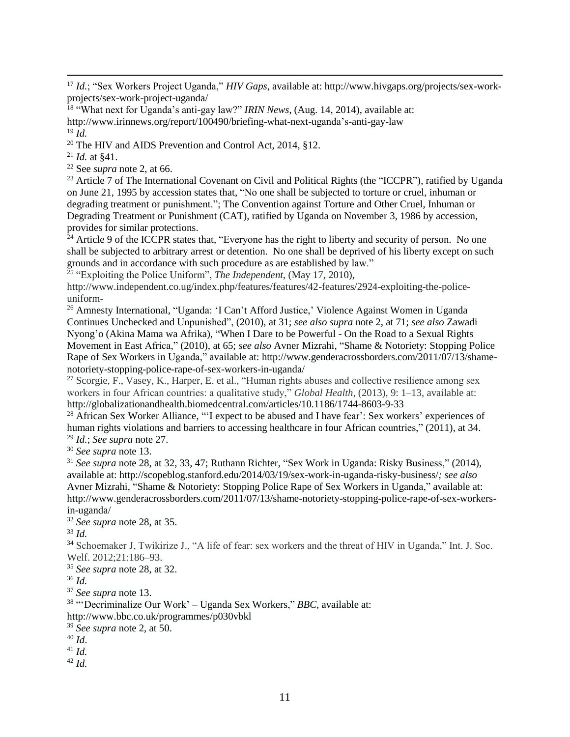<sup>17</sup> *Id.*; "Sex Workers Project Uganda," *HIV Gaps*, available at: http://www.hivgaps.org/projects/sex-workprojects/sex-work-project-uganda/

<sup>18</sup> "What next for Uganda's anti-gay law?" *IRIN News*, (Aug. 14, 2014), available at: http://www.irinnews.org/report/100490/briefing-what-next-uganda's-anti-gay-law <sup>19</sup> *Id.*

<sup>20</sup> The HIV and AIDS Prevention and Control Act, 2014, §12.

 $^{21}$  *Id.* at \$41.

 $\overline{a}$ 

<sup>22</sup> See *supra* note 2, at 66.

<sup>23</sup> Article 7 of The International Covenant on Civil and Political Rights (the "ICCPR"), ratified by Uganda on June 21, 1995 by accession states that, "No one shall be subjected to torture or cruel, inhuman or degrading treatment or punishment."; The Convention against Torture and Other Cruel, Inhuman or Degrading Treatment or Punishment (CAT), ratified by Uganda on November 3, 1986 by accession, provides for similar protections.

<sup>24</sup> Article 9 of the ICCPR states that, "Everyone has the right to liberty and security of person. No one shall be subjected to arbitrary arrest or detention. No one shall be deprived of his liberty except on such grounds and in accordance with such procedure as are established by law."

<sup>25</sup> "Exploiting the Police Uniform", *The Independent*, (May 17, 2010),

http://www.independent.co.ug/index.php/features/features/42-features/2924-exploiting-the-policeuniform-

<sup>26</sup> Amnesty International, "Uganda: 'I Can't Afford Justice,' Violence Against Women in Uganda Continues Unchecked and Unpunished", (2010), at 31; *see also supra* note 2, at 71; *see also* Zawadi Nyong'o (Akina Mama wa Afrika), "When I Dare to be Powerful - On the Road to a Sexual Rights Movement in East Africa," (2010), at 65; *see also* Avner Mizrahi, "Shame & Notoriety: Stopping Police Rape of Sex Workers in Uganda," available at: http://www.genderacrossborders.com/2011/07/13/shamenotoriety-stopping-police-rape-of-sex-workers-in-uganda/

<sup>27</sup> Scorgie, F., Vasey, K., Harper, E. et al., "Human rights abuses and collective resilience among sex workers in four African countries: a qualitative study," *Global Health*, (2013), 9: 1–13, available at: http://globalizationandhealth.biomedcentral.com/articles/10.1186/1744-8603-9-33

<sup>28</sup> African Sex Worker Alliance, "'I expect to be abused and I have fear': Sex workers' experiences of human rights violations and barriers to accessing healthcare in four African countries," (2011), at 34. <sup>29</sup> *Id.*; *See supra* note 27.

<sup>30</sup> *See supra* note 13.

<sup>31</sup> *See supra* note 28, at 32, 33, 47; Ruthann Richter, "Sex Work in Uganda: Risky Business," (2014), available at: http://scopeblog.stanford.edu/2014/03/19/sex-work-in-uganda-risky-business/*; see also* Avner Mizrahi, "Shame & Notoriety: Stopping Police Rape of Sex Workers in Uganda," available at: http://www.genderacrossborders.com/2011/07/13/shame-notoriety-stopping-police-rape-of-sex-workersin-uganda/

<sup>32</sup> *See supra* note 28, at 35.

<sup>33</sup> *Id.*

<sup>34</sup> Schoemaker J, Twikirize J., "A life of fear: sex workers and the threat of HIV in Uganda," Int. J. Soc. Welf. 2012;21:186–93.

<sup>35</sup> *See supra* note 28, at 32.

<sup>36</sup> *Id.*

<sup>37</sup> *See supra* note 13.

<sup>38</sup> "'Decriminalize Our Work' – Uganda Sex Workers," *BBC*, available at:

http://www.bbc.co.uk/programmes/p030vbkl

<sup>39</sup> *See supra* note 2, at 50.

<sup>40</sup> *Id*.

<sup>41</sup> *Id.*

<sup>42</sup> *Id.*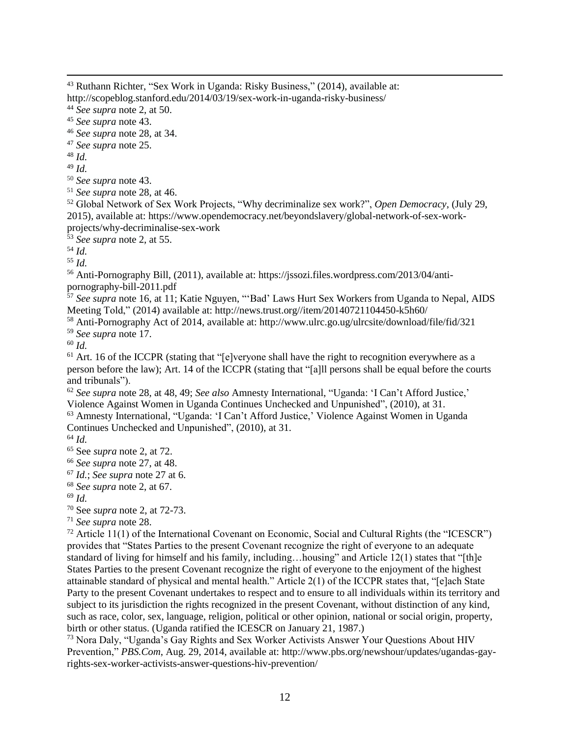<sup>44</sup> *See supra* note 2, at 50.

<sup>46</sup> *See supra* note 28, at 34.

<sup>48</sup> *Id.*

<sup>49</sup> *Id.*

<sup>50</sup> *See supra* note 43.

<sup>51</sup> *See supra* note 28, at 46.

<sup>52</sup> Global Network of Sex Work Projects, "Why decriminalize sex work?", *Open Democracy*, (July 29, 2015), available at: https://www.opendemocracy.net/beyondslavery/global-network-of-sex-workprojects/why-decriminalise-sex-work

<sup>53</sup> *See supra* note 2, at 55.

<sup>54</sup> *Id.*

<sup>55</sup> *Id.*

<sup>56</sup> Anti-Pornography Bill, (2011), available at: [https://jssozi.files.wordpress.com/2013/04/anti](https://jssozi.files.wordpress.com/2013/04/anti-pornography-bill-2011.pdf)[pornography-bill-2011.pdf](https://jssozi.files.wordpress.com/2013/04/anti-pornography-bill-2011.pdf)

<sup>57</sup> *See supra* note 16, at 11; Katie Nguyen, "'Bad' Laws Hurt Sex Workers from Uganda to Nepal, AIDS Meeting Told," (2014) available at: http://news.trust.org//item/20140721104450-k5h60/

<sup>58</sup> Anti-Pornography Act of 2014, available at: <http://www.ulrc.go.ug/ulrcsite/download/file/fid/321> <sup>59</sup> *See supra* note 17.

<sup>60</sup> *Id.*

<sup>61</sup> Art. 16 of the ICCPR (stating that "[e]veryone shall have the right to recognition everywhere as a person before the law); Art. 14 of the ICCPR (stating that "[a]ll persons shall be equal before the courts and tribunals").

<sup>62</sup> *See supra* note 28, at 48, 49; *See also* Amnesty International, "Uganda: 'I Can't Afford Justice,' Violence Against Women in Uganda Continues Unchecked and Unpunished", (2010), at 31.

<sup>63</sup> Amnesty International, "Uganda: 'I Can't Afford Justice,' Violence Against Women in Uganda Continues Unchecked and Unpunished", (2010), at 31.

<sup>64</sup> *Id.*

<sup>65</sup> See *supra* note 2, at 72.

<sup>66</sup> *See supra* note 27, at 48.

<sup>67</sup> *Id.*; *See supra* note 27 at 6.

<sup>68</sup> *See supra* note 2, at 67.

<sup>69</sup> *Id.*

<sup>70</sup> See *supra* note 2, at 72-73.

<sup>71</sup> *See supra* note 28.

 $72$  Article 11(1) of the International Covenant on Economic, Social and Cultural Rights (the "ICESCR") provides that "States Parties to the present Covenant recognize the right of everyone to an adequate standard of living for himself and his family, including…housing" and Article 12(1) states that "[th]e States Parties to the present Covenant recognize the right of everyone to the enjoyment of the highest attainable standard of physical and mental health." Article 2(1) of the ICCPR states that, "[e]ach State Party to the present Covenant undertakes to respect and to ensure to all individuals within its territory and subject to its jurisdiction the rights recognized in the present Covenant, without distinction of any kind, such as race, color, sex, language, religion, political or other opinion, national or social origin, property, birth or other status. (Uganda ratified the ICESCR on January 21, 1987.)

<sup>73</sup> Nora Daly, "Uganda's Gay Rights and Sex Worker Activists Answer Your Questions About HIV Prevention," *PBS.Com*, Aug. 29, 2014, available at: http://www.pbs.org/newshour/updates/ugandas-gayrights-sex-worker-activists-answer-questions-hiv-prevention/

 $\overline{a}$ <sup>43</sup> Ruthann Richter, "Sex Work in Uganda: Risky Business," (2014), available at: http://scopeblog.stanford.edu/2014/03/19/sex-work-in-uganda-risky-business/

<sup>45</sup> *See supra* note 43.

<sup>47</sup> *See supra* note 25.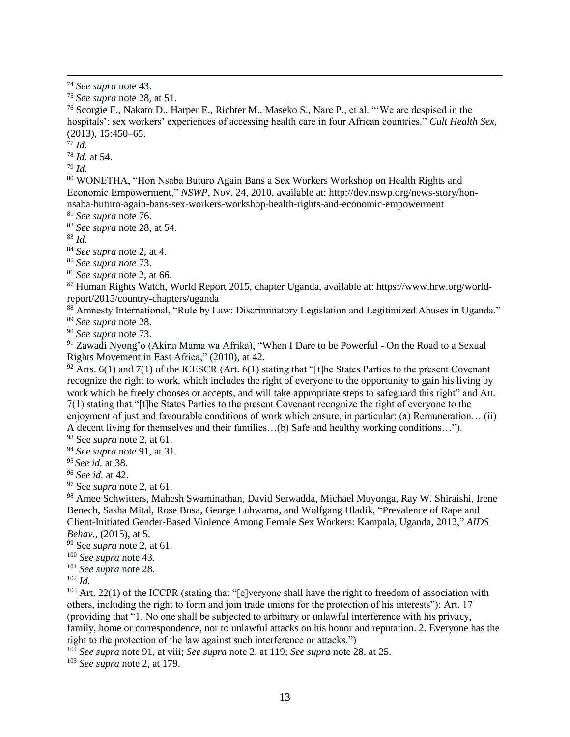<sup>76</sup> Scorgie F., Nakato D., Harper E., Richter M., Maseko S., Nare P., et al. "'We are despised in the hospitals': sex workers' experiences of accessing health care in four African countries." *Cult Health Sex*, (2013), 15:450–65.

<sup>77</sup> *Id.*

 $\overline{a}$ 

<sup>78</sup> *Id.* at 54.

<sup>79</sup> *Id.*

<sup>80</sup> WONETHA, "Hon Nsaba Buturo Again Bans a Sex Workers Workshop on Health Rights and Economic Empowerment," *NSWP*, Nov. 24, 2010, available at: http://dev.nswp.org/news-story/honnsaba-buturo-again-bans-sex-workers-workshop-health-rights-and-economic-empowerment

<sup>81</sup> *See supra* note 76.

<sup>82</sup> *See supra* note 28, at 54.

<sup>83</sup> *Id.*

<sup>84</sup> *See supra* note 2, at 4.

<sup>85</sup> *See supra note* 73.

<sup>86</sup> *See supra* note 2, at 66.

<sup>87</sup> Human Rights Watch, World Report 2015, chapter Uganda, available at: https://www.hrw.org/worldreport/2015/country-chapters/uganda

<sup>88</sup> Amnesty International, "Rule by Law: Discriminatory Legislation and Legitimized Abuses in Uganda." <sup>89</sup> *See supra* note 28.

<sup>90</sup> *See supra* note 73.

<sup>91</sup> Zawadi Nyong'o (Akina Mama wa Afrika), "When I Dare to be Powerful - On the Road to a Sexual Rights Movement in East Africa," (2010), at 42.

 $92$  Arts. 6(1) and 7(1) of the ICESCR (Art. 6(1) stating that "[t]he States Parties to the present Covenant recognize the right to work, which includes the right of everyone to the opportunity to gain his living by work which he freely chooses or accepts, and will take appropriate steps to safeguard this right" and Art. 7(1) stating that "[t]he States Parties to the present Covenant recognize the right of everyone to the enjoyment of just and favourable conditions of work which ensure, in particular: (a) Remuneration… (ii) A decent living for themselves and their families…(b) Safe and healthy working conditions…").

<sup>93</sup> See *supra* note 2, at 61.

<sup>94</sup> *See supra* note 91, at 31.

<sup>95</sup> *See id.* at 38.

<sup>96</sup> *See id.* at 42.

<sup>97</sup> See *supra* note 2, at 61.

<sup>98</sup> Amee Schwitters, Mahesh Swaminathan, David Serwadda, Michael Muyonga, Ray W. Shiraishi, Irene Benech, Sasha Mital, Rose Bosa, George Lubwama, and Wolfgang Hladik, "Prevalence of Rape and Client-Initiated Gender-Based Violence Among Female Sex Workers: Kampala, Uganda, 2012," *AIDS Behav.*, (2015), at 5.

<sup>99</sup> See *supra* note 2, at 61.

<sup>100</sup> *See supra* note 43.

<sup>101</sup> *See supra* note 28.

<sup>102</sup> *Id.*

<sup>103</sup> Art. 22(1) of the ICCPR (stating that "[e]veryone shall have the right to freedom of association with others, including the right to form and join trade unions for the protection of his interests"); Art. 17 (providing that "1. No one shall be subjected to arbitrary or unlawful interference with his privacy, family, home or correspondence, nor to unlawful attacks on his honor and reputation. 2. Everyone has the right to the protection of the law against such interference or attacks.")

<sup>104</sup> *See supra* note 91, at viii; *See supra* note 2, at 119; *See supra* note 28, at 25.

<sup>105</sup> *See supra* note 2, at 179.

<sup>74</sup> *See supra* note 43.

<sup>75</sup> *See supra* note 28, at 51.